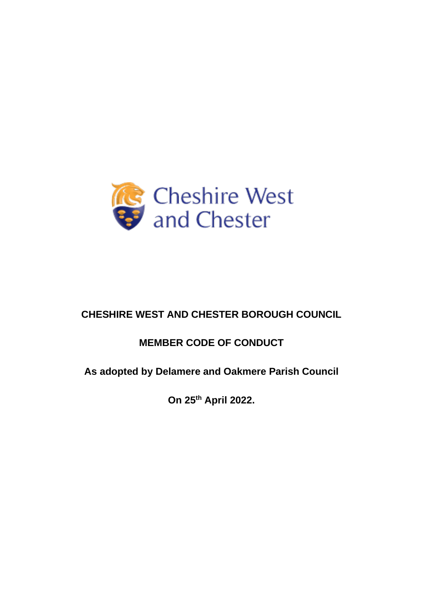

# **CHESHIRE WEST AND CHESTER BOROUGH COUNCIL**

# **MEMBER CODE OF CONDUCT**

# **As adopted by Delamere and Oakmere Parish Council**

**On 25th April 2022.**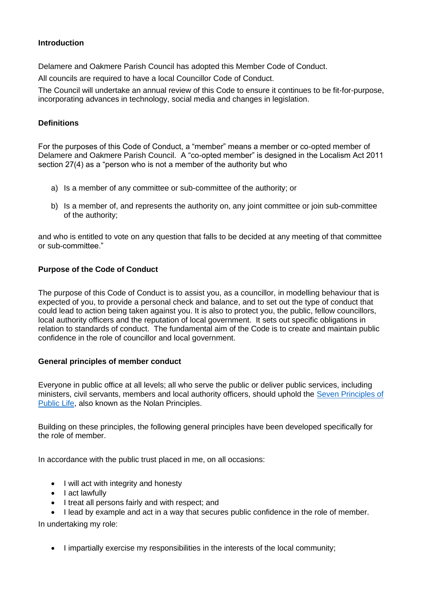# **Introduction**

Delamere and Oakmere Parish Council has adopted this Member Code of Conduct.

All councils are required to have a local Councillor Code of Conduct.

The Council will undertake an annual review of this Code to ensure it continues to be fit-for-purpose, incorporating advances in technology, social media and changes in legislation.

## **Definitions**

For the purposes of this Code of Conduct, a "member" means a member or co-opted member of Delamere and Oakmere Parish Council. A "co-opted member" is designed in the Localism Act 2011 section 27(4) as a "person who is not a member of the authority but who

- a) Is a member of any committee or sub-committee of the authority; or
- b) Is a member of, and represents the authority on, any joint committee or join sub-committee of the authority;

and who is entitled to vote on any question that falls to be decided at any meeting of that committee or sub-committee."

# **Purpose of the Code of Conduct**

The purpose of this Code of Conduct is to assist you, as a councillor, in modelling behaviour that is expected of you, to provide a personal check and balance, and to set out the type of conduct that could lead to action being taken against you. It is also to protect you, the public, fellow councillors, local authority officers and the reputation of local government. It sets out specific obligations in relation to standards of conduct. The fundamental aim of the Code is to create and maintain public confidence in the role of councillor and local government.

#### **General principles of member conduct**

Everyone in public office at all levels; all who serve the public or deliver public services, including ministers, civil servants, members and local authority officers, should uphold the [Seven Principles of](https://www.gov.uk/government/publications/the-7-principles-of-public-life/the-7-principles-of-public-life--2)  [Public Life,](https://www.gov.uk/government/publications/the-7-principles-of-public-life/the-7-principles-of-public-life--2) also known as the Nolan Principles.

Building on these principles, the following general principles have been developed specifically for the role of member.

In accordance with the public trust placed in me, on all occasions:

- I will act with integrity and honesty
- I act lawfully
- I treat all persons fairly and with respect; and
- I lead by example and act in a way that secures public confidence in the role of member.

In undertaking my role:

• I impartially exercise my responsibilities in the interests of the local community;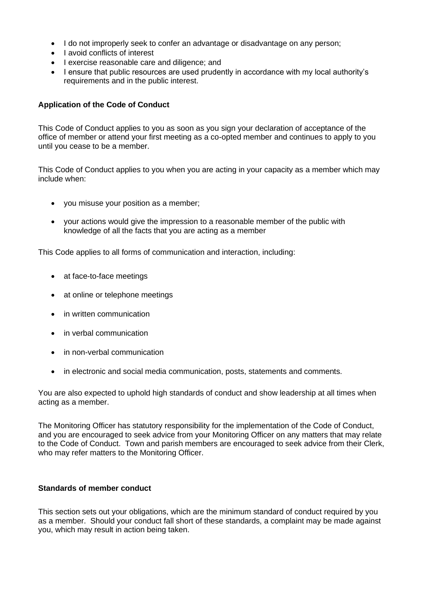- I do not improperly seek to confer an advantage or disadvantage on any person;
- I avoid conflicts of interest
- I exercise reasonable care and diligence; and
- I ensure that public resources are used prudently in accordance with my local authority's requirements and in the public interest.

## **Application of the Code of Conduct**

This Code of Conduct applies to you as soon as you sign your declaration of acceptance of the office of member or attend your first meeting as a co-opted member and continues to apply to you until you cease to be a member.

This Code of Conduct applies to you when you are acting in your capacity as a member which may include when:

- you misuse your position as a member;
- your actions would give the impression to a reasonable member of the public with knowledge of all the facts that you are acting as a member

This Code applies to all forms of communication and interaction, including:

- at face-to-face meetings
- at online or telephone meetings
- in written communication
- in verbal communication
- in non-verbal communication
- in electronic and social media communication, posts, statements and comments.

You are also expected to uphold high standards of conduct and show leadership at all times when acting as a member.

The Monitoring Officer has statutory responsibility for the implementation of the Code of Conduct, and you are encouraged to seek advice from your Monitoring Officer on any matters that may relate to the Code of Conduct. Town and parish members are encouraged to seek advice from their Clerk, who may refer matters to the Monitoring Officer.

#### **Standards of member conduct**

This section sets out your obligations, which are the minimum standard of conduct required by you as a member. Should your conduct fall short of these standards, a complaint may be made against you, which may result in action being taken.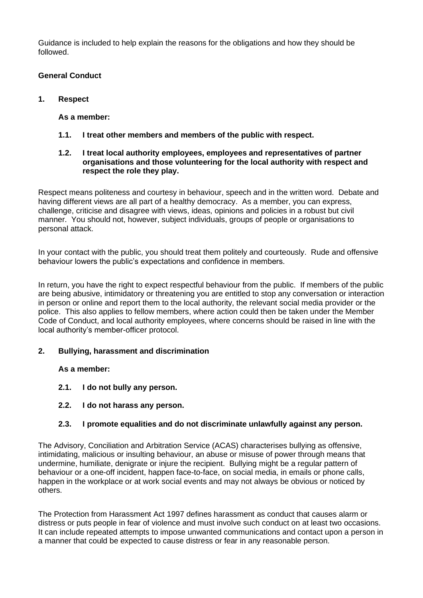Guidance is included to help explain the reasons for the obligations and how they should be followed.

# **General Conduct**

**1. Respect**

# **As a member:**

- **1.1. I treat other members and members of the public with respect.**
- **1.2. I treat local authority employees, employees and representatives of partner organisations and those volunteering for the local authority with respect and respect the role they play.**

Respect means politeness and courtesy in behaviour, speech and in the written word. Debate and having different views are all part of a healthy democracy. As a member, you can express, challenge, criticise and disagree with views, ideas, opinions and policies in a robust but civil manner. You should not, however, subject individuals, groups of people or organisations to personal attack.

In your contact with the public, you should treat them politely and courteously. Rude and offensive behaviour lowers the public's expectations and confidence in members.

In return, you have the right to expect respectful behaviour from the public. If members of the public are being abusive, intimidatory or threatening you are entitled to stop any conversation or interaction in person or online and report them to the local authority, the relevant social media provider or the police. This also applies to fellow members, where action could then be taken under the Member Code of Conduct, and local authority employees, where concerns should be raised in line with the local authority's member-officer protocol.

#### **2. Bullying, harassment and discrimination**

**As a member:**

- **2.1. I do not bully any person.**
- **2.2. I do not harass any person.**

# **2.3. I promote equalities and do not discriminate unlawfully against any person.**

The Advisory, Conciliation and Arbitration Service (ACAS) characterises bullying as offensive, intimidating, malicious or insulting behaviour, an abuse or misuse of power through means that undermine, humiliate, denigrate or injure the recipient. Bullying might be a regular pattern of behaviour or a one-off incident, happen face-to-face, on social media, in emails or phone calls, happen in the workplace or at work social events and may not always be obvious or noticed by others.

The Protection from Harassment Act 1997 defines harassment as conduct that causes alarm or distress or puts people in fear of violence and must involve such conduct on at least two occasions. It can include repeated attempts to impose unwanted communications and contact upon a person in a manner that could be expected to cause distress or fear in any reasonable person.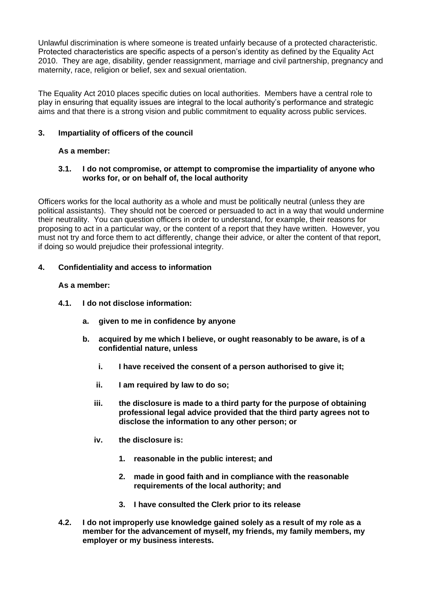Unlawful discrimination is where someone is treated unfairly because of a protected characteristic. Protected characteristics are specific aspects of a person's identity as defined by the Equality Act 2010. They are age, disability, gender reassignment, marriage and civil partnership, pregnancy and maternity, race, religion or belief, sex and sexual orientation.

The Equality Act 2010 places specific duties on local authorities. Members have a central role to play in ensuring that equality issues are integral to the local authority's performance and strategic aims and that there is a strong vision and public commitment to equality across public services.

# **3. Impartiality of officers of the council**

# **As a member:**

# **3.1. I do not compromise, or attempt to compromise the impartiality of anyone who works for, or on behalf of, the local authority**

Officers works for the local authority as a whole and must be politically neutral (unless they are political assistants). They should not be coerced or persuaded to act in a way that would undermine their neutrality. You can question officers in order to understand, for example, their reasons for proposing to act in a particular way, or the content of a report that they have written. However, you must not try and force them to act differently, change their advice, or alter the content of that report, if doing so would prejudice their professional integrity.

# **4. Confidentiality and access to information**

#### **As a member:**

- **4.1. I do not disclose information:**
	- **a. given to me in confidence by anyone**
	- **b. acquired by me which I believe, or ought reasonably to be aware, is of a confidential nature, unless**
		- **i. I have received the consent of a person authorised to give it;**
		- **ii. I am required by law to do so;**
		- **iii. the disclosure is made to a third party for the purpose of obtaining professional legal advice provided that the third party agrees not to disclose the information to any other person; or**
		- **iv. the disclosure is:**
			- **1. reasonable in the public interest; and**
			- **2. made in good faith and in compliance with the reasonable requirements of the local authority; and**
			- **3. I have consulted the Clerk prior to its release**
- **4.2. I do not improperly use knowledge gained solely as a result of my role as a member for the advancement of myself, my friends, my family members, my employer or my business interests.**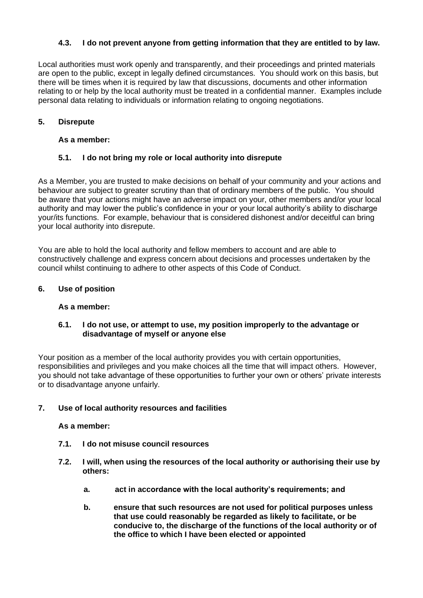# **4.3. I do not prevent anyone from getting information that they are entitled to by law.**

Local authorities must work openly and transparently, and their proceedings and printed materials are open to the public, except in legally defined circumstances. You should work on this basis, but there will be times when it is required by law that discussions, documents and other information relating to or help by the local authority must be treated in a confidential manner. Examples include personal data relating to individuals or information relating to ongoing negotiations.

# **5. Disrepute**

#### **As a member:**

# **5.1. I do not bring my role or local authority into disrepute**

As a Member, you are trusted to make decisions on behalf of your community and your actions and behaviour are subject to greater scrutiny than that of ordinary members of the public. You should be aware that your actions might have an adverse impact on your, other members and/or your local authority and may lower the public's confidence in your or your local authority's ability to discharge your/its functions. For example, behaviour that is considered dishonest and/or deceitful can bring your local authority into disrepute.

You are able to hold the local authority and fellow members to account and are able to constructively challenge and express concern about decisions and processes undertaken by the council whilst continuing to adhere to other aspects of this Code of Conduct.

#### **6. Use of position**

#### **As a member:**

#### **6.1. I do not use, or attempt to use, my position improperly to the advantage or disadvantage of myself or anyone else**

Your position as a member of the local authority provides you with certain opportunities, responsibilities and privileges and you make choices all the time that will impact others. However, you should not take advantage of these opportunities to further your own or others' private interests or to disadvantage anyone unfairly.

#### **7. Use of local authority resources and facilities**

#### **As a member:**

- **7.1. I do not misuse council resources**
- **7.2. I will, when using the resources of the local authority or authorising their use by others:**
	- **a. act in accordance with the local authority's requirements; and**
	- **b. ensure that such resources are not used for political purposes unless that use could reasonably be regarded as likely to facilitate, or be conducive to, the discharge of the functions of the local authority or of the office to which I have been elected or appointed**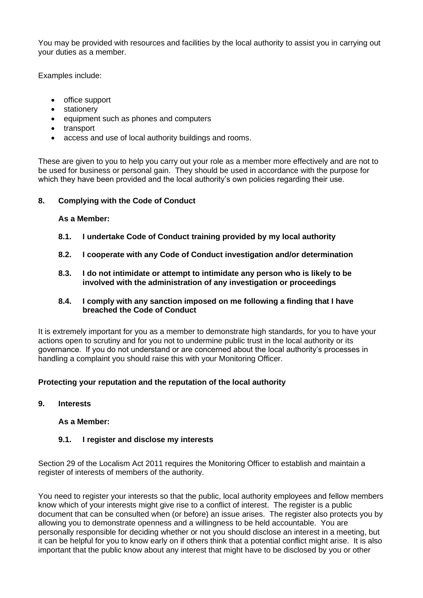You may be provided with resources and facilities by the local authority to assist you in carrying out your duties as a member.

Examples include:

- office support
- stationery
- equipment such as phones and computers
- transport
- access and use of local authority buildings and rooms.

These are given to you to help you carry out your role as a member more effectively and are not to be used for business or personal gain. They should be used in accordance with the purpose for which they have been provided and the local authority's own policies regarding their use.

#### **8. Complying with the Code of Conduct**

#### **As a Member:**

- **8.1. I undertake Code of Conduct training provided by my local authority**
- **8.2. I cooperate with any Code of Conduct investigation and/or determination**
- **8.3. I do not intimidate or attempt to intimidate any person who is likely to be involved with the administration of any investigation or proceedings**

#### **8.4. I comply with any sanction imposed on me following a finding that I have breached the Code of Conduct**

It is extremely important for you as a member to demonstrate high standards, for you to have your actions open to scrutiny and for you not to undermine public trust in the local authority or its governance. If you do not understand or are concerned about the local authority's processes in handling a complaint you should raise this with your Monitoring Officer.

#### **Protecting your reputation and the reputation of the local authority**

#### **9. Interests**

#### **As a Member:**

#### **9.1. I register and disclose my interests**

Section 29 of the Localism Act 2011 requires the Monitoring Officer to establish and maintain a register of interests of members of the authority.

You need to register your interests so that the public, local authority employees and fellow members know which of your interests might give rise to a conflict of interest. The register is a public document that can be consulted when (or before) an issue arises. The register also protects you by allowing you to demonstrate openness and a willingness to be held accountable. You are personally responsible for deciding whether or not you should disclose an interest in a meeting, but it can be helpful for you to know early on if others think that a potential conflict might arise. It is also important that the public know about any interest that might have to be disclosed by you or other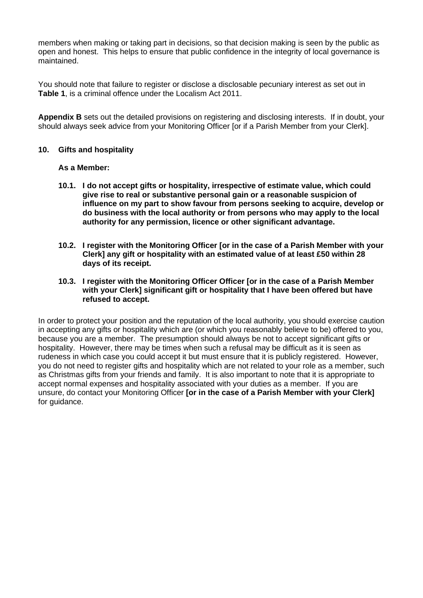members when making or taking part in decisions, so that decision making is seen by the public as open and honest. This helps to ensure that public confidence in the integrity of local governance is maintained.

You should note that failure to register or disclose a disclosable pecuniary interest as set out in **Table 1**, is a criminal offence under the Localism Act 2011.

**Appendix B** sets out the detailed provisions on registering and disclosing interests. If in doubt, your should always seek advice from your Monitoring Officer [or if a Parish Member from your Clerk].

#### **10. Gifts and hospitality**

#### **As a Member:**

- **10.1. I do not accept gifts or hospitality, irrespective of estimate value, which could give rise to real or substantive personal gain or a reasonable suspicion of influence on my part to show favour from persons seeking to acquire, develop or do business with the local authority or from persons who may apply to the local authority for any permission, licence or other significant advantage.**
- **10.2. I register with the Monitoring Officer [or in the case of a Parish Member with your Clerk] any gift or hospitality with an estimated value of at least £50 within 28 days of its receipt.**
- **10.3. I register with the Monitoring Officer Officer [or in the case of a Parish Member with your Clerk] significant gift or hospitality that I have been offered but have refused to accept.**

In order to protect your position and the reputation of the local authority, you should exercise caution in accepting any gifts or hospitality which are (or which you reasonably believe to be) offered to you, because you are a member. The presumption should always be not to accept significant gifts or hospitality. However, there may be times when such a refusal may be difficult as it is seen as rudeness in which case you could accept it but must ensure that it is publicly registered. However, you do not need to register gifts and hospitality which are not related to your role as a member, such as Christmas gifts from your friends and family. It is also important to note that it is appropriate to accept normal expenses and hospitality associated with your duties as a member. If you are unsure, do contact your Monitoring Officer **[or in the case of a Parish Member with your Clerk]**  for quidance.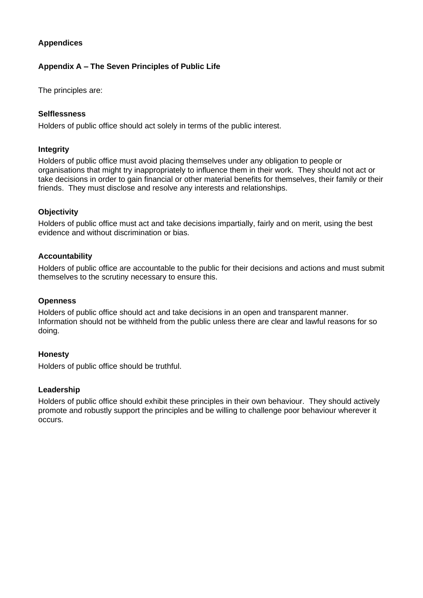# **Appendices**

# **Appendix A – The Seven Principles of Public Life**

The principles are:

## **Selflessness**

Holders of public office should act solely in terms of the public interest.

# **Integrity**

Holders of public office must avoid placing themselves under any obligation to people or organisations that might try inappropriately to influence them in their work. They should not act or take decisions in order to gain financial or other material benefits for themselves, their family or their friends. They must disclose and resolve any interests and relationships.

# **Objectivity**

Holders of public office must act and take decisions impartially, fairly and on merit, using the best evidence and without discrimination or bias.

# **Accountability**

Holders of public office are accountable to the public for their decisions and actions and must submit themselves to the scrutiny necessary to ensure this.

## **Openness**

Holders of public office should act and take decisions in an open and transparent manner. Information should not be withheld from the public unless there are clear and lawful reasons for so doing.

#### **Honesty**

Holders of public office should be truthful.

#### **Leadership**

Holders of public office should exhibit these principles in their own behaviour. They should actively promote and robustly support the principles and be willing to challenge poor behaviour wherever it occurs.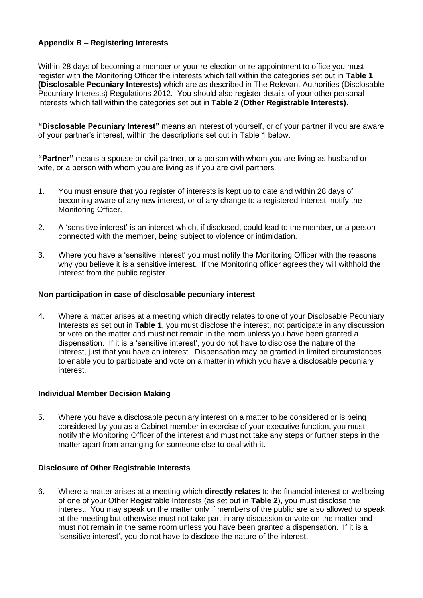# **Appendix B – Registering Interests**

Within 28 days of becoming a member or your re-election or re-appointment to office you must register with the Monitoring Officer the interests which fall within the categories set out in **Table 1 (Disclosable Pecuniary Interests)** which are as described in The Relevant Authorities (Disclosable Pecuniary Interests) Regulations 2012. You should also register details of your other personal interests which fall within the categories set out in **Table 2 (Other Registrable Interests)**.

**"Disclosable Pecuniary Interest"** means an interest of yourself, or of your partner if you are aware of your partner's interest, within the descriptions set out in Table 1 below.

**"Partner"** means a spouse or civil partner, or a person with whom you are living as husband or wife, or a person with whom you are living as if you are civil partners.

- 1. You must ensure that you register of interests is kept up to date and within 28 days of becoming aware of any new interest, or of any change to a registered interest, notify the Monitoring Officer.
- 2. A 'sensitive interest' is an interest which, if disclosed, could lead to the member, or a person connected with the member, being subject to violence or intimidation.
- 3. Where you have a 'sensitive interest' you must notify the Monitoring Officer with the reasons why you believe it is a sensitive interest. If the Monitoring officer agrees they will withhold the interest from the public register.

#### **Non participation in case of disclosable pecuniary interest**

4. Where a matter arises at a meeting which directly relates to one of your Disclosable Pecuniary Interests as set out in **Table 1**, you must disclose the interest, not participate in any discussion or vote on the matter and must not remain in the room unless you have been granted a dispensation. If it is a 'sensitive interest', you do not have to disclose the nature of the interest, just that you have an interest. Dispensation may be granted in limited circumstances to enable you to participate and vote on a matter in which you have a disclosable pecuniary interest.

#### **Individual Member Decision Making**

5. Where you have a disclosable pecuniary interest on a matter to be considered or is being considered by you as a Cabinet member in exercise of your executive function, you must notify the Monitoring Officer of the interest and must not take any steps or further steps in the matter apart from arranging for someone else to deal with it.

#### **Disclosure of Other Registrable Interests**

6. Where a matter arises at a meeting which **directly relates** to the financial interest or wellbeing of one of your Other Registrable Interests (as set out in **Table 2**), you must disclose the interest. You may speak on the matter only if members of the public are also allowed to speak at the meeting but otherwise must not take part in any discussion or vote on the matter and must not remain in the same room unless you have been granted a dispensation. If it is a 'sensitive interest', you do not have to disclose the nature of the interest.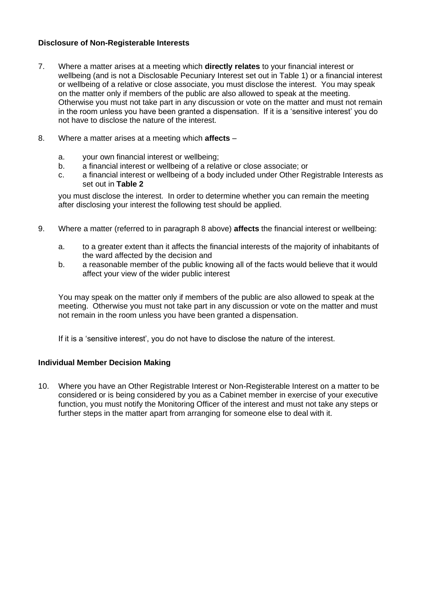# **Disclosure of Non-Registerable Interests**

- 7. Where a matter arises at a meeting which **directly relates** to your financial interest or wellbeing (and is not a Disclosable Pecuniary Interest set out in Table 1) or a financial interest or wellbeing of a relative or close associate, you must disclose the interest. You may speak on the matter only if members of the public are also allowed to speak at the meeting. Otherwise you must not take part in any discussion or vote on the matter and must not remain in the room unless you have been granted a dispensation. If it is a 'sensitive interest' you do not have to disclose the nature of the interest.
- 8. Where a matter arises at a meeting which **affects**
	- a. your own financial interest or wellbeing;
	- b. a financial interest or wellbeing of a relative or close associate; or
	- c. a financial interest or wellbeing of a body included under Other Registrable Interests as set out in **Table 2**

you must disclose the interest. In order to determine whether you can remain the meeting after disclosing your interest the following test should be applied.

- 9. Where a matter (referred to in paragraph 8 above) **affects** the financial interest or wellbeing:
	- a. to a greater extent than it affects the financial interests of the majority of inhabitants of the ward affected by the decision and
	- b. a reasonable member of the public knowing all of the facts would believe that it would affect your view of the wider public interest

You may speak on the matter only if members of the public are also allowed to speak at the meeting. Otherwise you must not take part in any discussion or vote on the matter and must not remain in the room unless you have been granted a dispensation.

If it is a 'sensitive interest', you do not have to disclose the nature of the interest.

#### **Individual Member Decision Making**

10. Where you have an Other Registrable Interest or Non-Registerable Interest on a matter to be considered or is being considered by you as a Cabinet member in exercise of your executive function, you must notify the Monitoring Officer of the interest and must not take any steps or further steps in the matter apart from arranging for someone else to deal with it.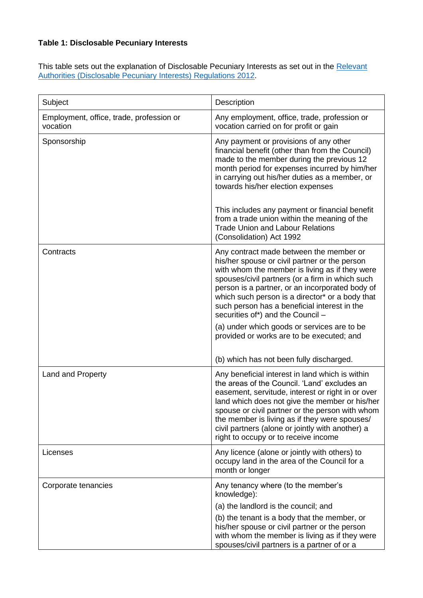# **Table 1: Disclosable Pecuniary Interests**

This table sets out the explanation of Disclosable Pecuniary Interests as set out in the Relevant [Authorities \(Disclosable Pecuniary Interests\) Regulations 2012.](https://www.legislation.gov.uk/uksi/2012/1464/made)

| Subject                                              | Description                                                                                                                                                                                                                                                                                                                                                                                                                                                                                                                      |
|------------------------------------------------------|----------------------------------------------------------------------------------------------------------------------------------------------------------------------------------------------------------------------------------------------------------------------------------------------------------------------------------------------------------------------------------------------------------------------------------------------------------------------------------------------------------------------------------|
| Employment, office, trade, profession or<br>vocation | Any employment, office, trade, profession or<br>vocation carried on for profit or gain                                                                                                                                                                                                                                                                                                                                                                                                                                           |
| Sponsorship                                          | Any payment or provisions of any other<br>financial benefit (other than from the Council)<br>made to the member during the previous 12<br>month period for expenses incurred by him/her<br>in carrying out his/her duties as a member, or<br>towards his/her election expenses                                                                                                                                                                                                                                                   |
|                                                      | This includes any payment or financial benefit<br>from a trade union within the meaning of the<br><b>Trade Union and Labour Relations</b><br>(Consolidation) Act 1992                                                                                                                                                                                                                                                                                                                                                            |
| Contracts                                            | Any contract made between the member or<br>his/her spouse or civil partner or the person<br>with whom the member is living as if they were<br>spouses/civil partners (or a firm in which such<br>person is a partner, or an incorporated body of<br>which such person is a director* or a body that<br>such person has a beneficial interest in the<br>securities of*) and the Council -<br>(a) under which goods or services are to be<br>provided or works are to be executed; and<br>(b) which has not been fully discharged. |
| Land and Property                                    | Any beneficial interest in land which is within<br>the areas of the Council. 'Land' excludes an<br>easement, servitude, interest or right in or over<br>land which does not give the member or his/her<br>spouse or civil partner or the person with whom<br>the member is living as if they were spouses/<br>civil partners (alone or jointly with another) a<br>right to occupy or to receive income                                                                                                                           |
| Licenses                                             | Any licence (alone or jointly with others) to<br>occupy land in the area of the Council for a<br>month or longer                                                                                                                                                                                                                                                                                                                                                                                                                 |
| Corporate tenancies                                  | Any tenancy where (to the member's<br>knowledge):<br>(a) the landlord is the council; and<br>(b) the tenant is a body that the member, or<br>his/her spouse or civil partner or the person<br>with whom the member is living as if they were<br>spouses/civil partners is a partner of or a                                                                                                                                                                                                                                      |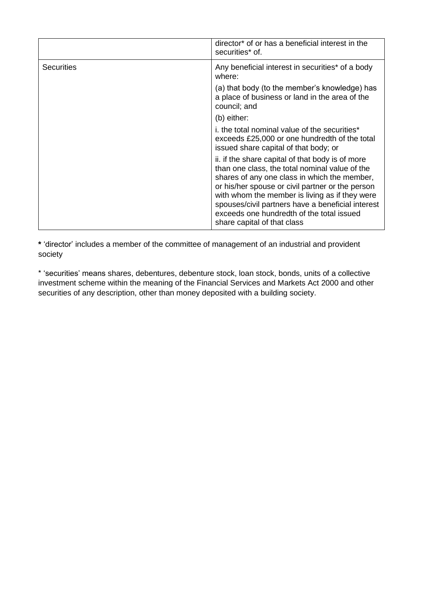|                   | director* of or has a beneficial interest in the<br>securities* of.                                                                                                                                                                                                                                                                                                                       |
|-------------------|-------------------------------------------------------------------------------------------------------------------------------------------------------------------------------------------------------------------------------------------------------------------------------------------------------------------------------------------------------------------------------------------|
| <b>Securities</b> | Any beneficial interest in securities* of a body<br>where:                                                                                                                                                                                                                                                                                                                                |
|                   | (a) that body (to the member's knowledge) has<br>a place of business or land in the area of the<br>council; and                                                                                                                                                                                                                                                                           |
|                   | (b) either:                                                                                                                                                                                                                                                                                                                                                                               |
|                   | i, the total nominal value of the securities*<br>exceeds £25,000 or one hundredth of the total<br>issued share capital of that body; or                                                                                                                                                                                                                                                   |
|                   | ii. if the share capital of that body is of more<br>than one class, the total nominal value of the<br>shares of any one class in which the member,<br>or his/her spouse or civil partner or the person<br>with whom the member is living as if they were<br>spouses/civil partners have a beneficial interest<br>exceeds one hundredth of the total issued<br>share capital of that class |

**\*** 'director' includes a member of the committee of management of an industrial and provident society

\* 'securities' means shares, debentures, debenture stock, loan stock, bonds, units of a collective investment scheme within the meaning of the Financial Services and Markets Act 2000 and other securities of any description, other than money deposited with a building society.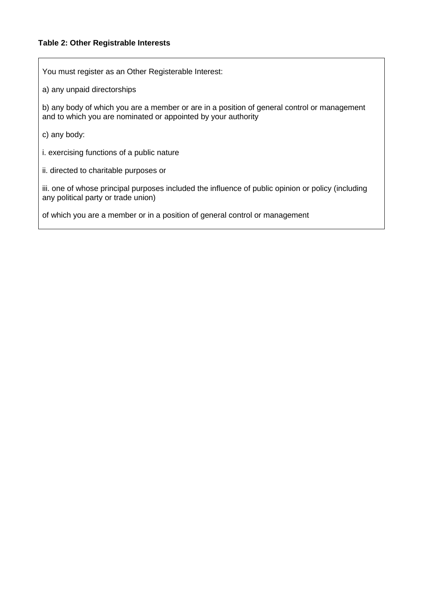## **Table 2: Other Registrable Interests**

You must register as an Other Registerable Interest:

a) any unpaid directorships

b) any body of which you are a member or are in a position of general control or management and to which you are nominated or appointed by your authority

c) any body:

i. exercising functions of a public nature

ii. directed to charitable purposes or

iii. one of whose principal purposes included the influence of public opinion or policy (including any political party or trade union)

of which you are a member or in a position of general control or management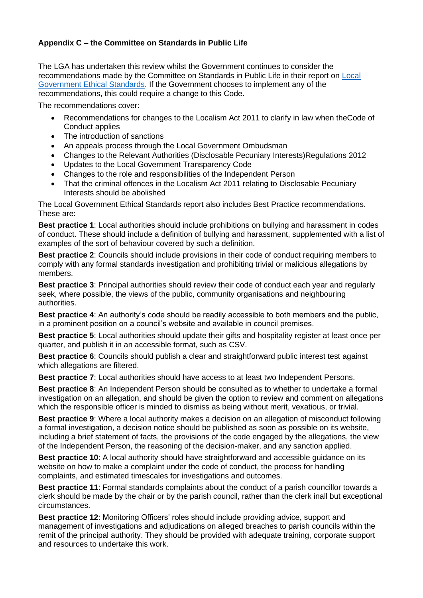# **Appendix C – the Committee on Standards in Public Life**

The LGA has undertaken this review whilst the Government continues to consider the recommendations made by the Committee on Standards in Public Life in their report on [Local](https://www.gov.uk/government/publications/local-government-ethical-standards-report)  [Government Ethical Standards.](https://www.gov.uk/government/publications/local-government-ethical-standards-report) If the Government chooses to implement any of the recommendations, this could require a change to this Code.

The recommendations cover:

- Recommendations for changes to the Localism Act 2011 to clarify in law when theCode of Conduct applies
- The introduction of sanctions
- An appeals process through the Local Government Ombudsman
- Changes to the Relevant Authorities (Disclosable Pecuniary Interests)Regulations 2012
- Updates to the Local Government Transparency Code
- Changes to the role and responsibilities of the Independent Person
- That the criminal offences in the Localism Act 2011 relating to Disclosable Pecuniary Interests should be abolished

The Local Government Ethical Standards report also includes Best Practice recommendations. These are:

**Best practice 1**: Local authorities should include prohibitions on bullying and harassment in codes of conduct. These should include a definition of bullying and harassment, supplemented with a list of examples of the sort of behaviour covered by such a definition.

**Best practice 2**: Councils should include provisions in their code of conduct requiring members to comply with any formal standards investigation and prohibiting trivial or malicious allegations by members.

**Best practice 3**: Principal authorities should review their code of conduct each year and regularly seek, where possible, the views of the public, community organisations and neighbouring authorities.

**Best practice 4**: An authority's code should be readily accessible to both members and the public, in a prominent position on a council's website and available in council premises.

**Best practice 5**: Local authorities should update their gifts and hospitality register at least once per quarter, and publish it in an accessible format, such as CSV.

**Best practice 6**: Councils should publish a clear and straightforward public interest test against which allegations are filtered.

**Best practice 7:** Local authorities should have access to at least two Independent Persons.

**Best practice 8**: An Independent Person should be consulted as to whether to undertake a formal investigation on an allegation, and should be given the option to review and comment on allegations which the responsible officer is minded to dismiss as being without merit, vexatious, or trivial.

**Best practice 9**: Where a local authority makes a decision on an allegation of misconduct following a formal investigation, a decision notice should be published as soon as possible on its website, including a brief statement of facts, the provisions of the code engaged by the allegations, the view of the Independent Person, the reasoning of the decision-maker, and any sanction applied.

**Best practice 10**: A local authority should have straightforward and accessible guidance on its website on how to make a complaint under the code of conduct, the process for handling complaints, and estimated timescales for investigations and outcomes.

**Best practice 11**: Formal standards complaints about the conduct of a parish councillor towards a clerk should be made by the chair or by the parish council, rather than the clerk inall but exceptional circumstances.

**Best practice 12**: Monitoring Officers' roles should include providing advice, support and management of investigations and adjudications on alleged breaches to parish councils within the remit of the principal authority. They should be provided with adequate training, corporate support and resources to undertake this work.